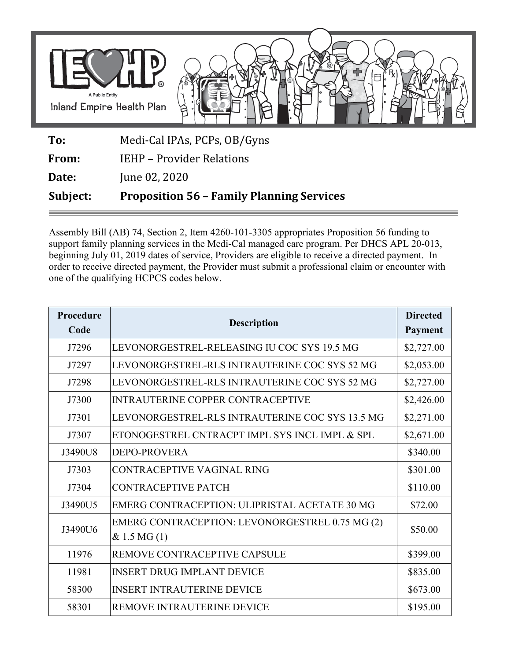

**To:** Medi-Cal IPAs, PCPs, OB/Gyns

**From:** IEHP – Provider Relations

**Date:** June 02, 2020

**Subject: Proposition 56 – Family Planning Services** 

Assembly Bill (AB) 74, Section 2, Item 4260-101-3305 appropriates Proposition 56 funding to support family planning services in the Medi-Cal managed care program. Per DHCS APL 20-013, beginning July 01, 2019 dates of service, Providers are eligible to receive a directed payment. In order to receive directed payment, the Provider must submit a professional claim or encounter with one of the qualifying HCPCS codes below.

| Procedure<br>Code | <b>Description</b>                                             | <b>Directed</b><br>Payment |
|-------------------|----------------------------------------------------------------|----------------------------|
| J7296             | LEVONORGESTREL-RELEASING IU COC SYS 19.5 MG                    | \$2,727.00                 |
| J7297             | LEVONORGESTREL-RLS INTRAUTERINE COC SYS 52 MG                  | \$2,053.00                 |
| J7298             | LEVONORGESTREL-RLS INTRAUTERINE COC SYS 52 MG                  | \$2,727.00                 |
| J7300             | <b>INTRAUTERINE COPPER CONTRACEPTIVE</b>                       | \$2,426.00                 |
| J7301             | LEVONORGESTREL-RLS INTRAUTERINE COC SYS 13.5 MG                | \$2,271.00                 |
| J7307             | ETONOGESTREL CNTRACPT IMPL SYS INCL IMPL & SPL                 | \$2,671.00                 |
| J3490U8           | <b>DEPO-PROVERA</b>                                            | \$340.00                   |
| J7303             | CONTRACEPTIVE VAGINAL RING                                     | \$301.00                   |
| J7304             | <b>CONTRACEPTIVE PATCH</b>                                     | \$110.00                   |
| J3490U5           | EMERG CONTRACEPTION: ULIPRISTAL ACETATE 30 MG                  | \$72.00                    |
| J3490U6           | EMERG CONTRACEPTION: LEVONORGESTREL 0.75 MG (2)<br>& 1.5 MG(1) | \$50.00                    |
| 11976             | REMOVE CONTRACEPTIVE CAPSULE                                   | \$399.00                   |
| 11981             | <b>INSERT DRUG IMPLANT DEVICE</b>                              | \$835.00                   |
| 58300             | <b>INSERT INTRAUTERINE DEVICE</b>                              | \$673.00                   |
| 58301             | REMOVE INTRAUTERINE DEVICE                                     | \$195.00                   |